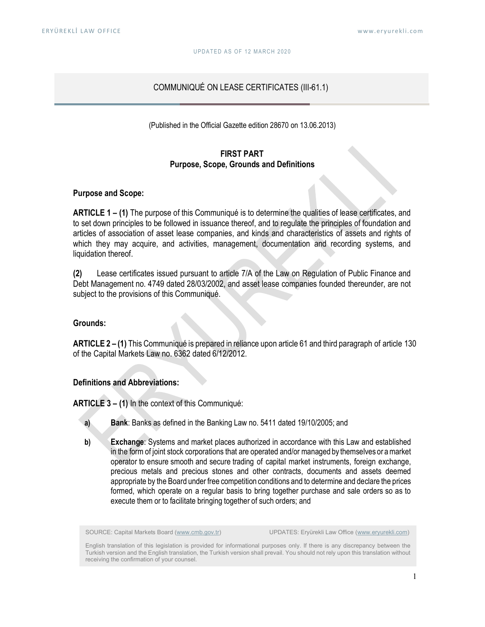#### UPDATED AS OF 12 MARCH 2020

### COMMUNIQUÉ ON LEASE CERTIFICATES (III-61.1)

(Published in the Official Gazette edition 28670 on 13.06.2013)

## FIRST PART Purpose, Scope, Grounds and Definitions

#### Purpose and Scope:

ARTICLE 1 – (1) The purpose of this Communiqué is to determine the qualities of lease certificates, and to set down principles to be followed in issuance thereof, and to regulate the principles of foundation and articles of association of asset lease companies, and kinds and characteristics of assets and rights of which they may acquire, and activities, management, documentation and recording systems, and liquidation thereof.

(2) Lease certificates issued pursuant to article 7/A of the Law on Regulation of Public Finance and Debt Management no. 4749 dated 28/03/2002, and asset lease companies founded thereunder, are not subject to the provisions of this Communiqué.

#### Grounds:

ARTICLE 2 – (1) This Communiqué is prepared in reliance upon article 61 and third paragraph of article 130 of the Capital Markets Law no. 6362 dated 6/12/2012.

### Definitions and Abbreviations:

ARTICLE 3 – (1) In the context of this Communiqué:

- a) Bank: Banks as defined in the Banking Law no. 5411 dated 19/10/2005; and
- b) Exchange: Systems and market places authorized in accordance with this Law and established in the form of joint stock corporations that are operated and/or managed by themselves or a market operator to ensure smooth and secure trading of capital market instruments, foreign exchange, precious metals and precious stones and other contracts, documents and assets deemed appropriate by the Board under free competition conditions and to determine and declare the prices formed, which operate on a regular basis to bring together purchase and sale orders so as to execute them or to facilitate bringing together of such orders; and

SOURCE: Capital Markets Board (www.cmb.gov.tr) UPDATES: Eryürekli Law Office (www.eryurekli.com)

English translation of this legislation is provided for informational purposes only. If there is any discrepancy between the Turkish version and the English translation, the Turkish version shall prevail. You should not rely upon this translation without receiving the confirmation of your counsel.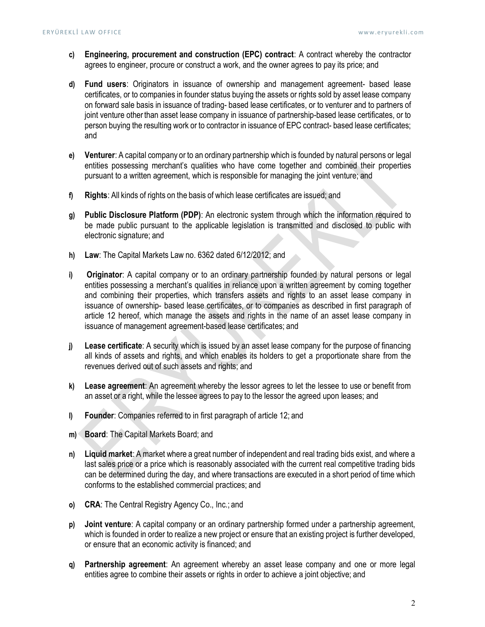- c) Engineering, procurement and construction (EPC) contract: A contract whereby the contractor agrees to engineer, procure or construct a work, and the owner agrees to pay its price; and
- d) Fund users: Originators in issuance of ownership and management agreement- based lease certificates, or to companies in founder status buying the assets or rights sold by asset lease company on forward sale basis in issuance of trading- based lease certificates, or to venturer and to partners of joint venture other than asset lease company in issuance of partnership-based lease certificates, or to person buying the resulting work or to contractor in issuance of EPC contract- based lease certificates; and
- e) Venturer: A capital company or to an ordinary partnership which is founded by natural persons or legal entities possessing merchant's qualities who have come together and combined their properties pursuant to a written agreement, which is responsible for managing the joint venture; and
- f) Rights: All kinds of rights on the basis of which lease certificates are issued; and
- g) Public Disclosure Platform (PDP): An electronic system through which the information required to be made public pursuant to the applicable legislation is transmitted and disclosed to public with electronic signature; and
- h) Law: The Capital Markets Law no. 6362 dated 6/12/2012; and
- i) Originator: A capital company or to an ordinary partnership founded by natural persons or legal entities possessing a merchant's qualities in reliance upon a written agreement by coming together and combining their properties, which transfers assets and rights to an asset lease company in issuance of ownership- based lease certificates, or to companies as described in first paragraph of article 12 hereof, which manage the assets and rights in the name of an asset lease company in issuance of management agreement-based lease certificates; and
- j) Lease certificate: A security which is issued by an asset lease company for the purpose of financing all kinds of assets and rights, and which enables its holders to get a proportionate share from the revenues derived out of such assets and rights; and
- k) Lease agreement: An agreement whereby the lessor agrees to let the lessee to use or benefit from an asset or a right, while the lessee agrees to pay to the lessor the agreed upon leases; and
- l) Founder: Companies referred to in first paragraph of article 12; and
- m) Board: The Capital Markets Board; and
- n) Liquid market: A market where a great number of independent and real trading bids exist, and where a last sales price or a price which is reasonably associated with the current real competitive trading bids can be determined during the day, and where transactions are executed in a short period of time which conforms to the established commercial practices; and
- o) CRA: The Central Registry Agency Co., Inc.; and
- p) Joint venture: A capital company or an ordinary partnership formed under a partnership agreement, which is founded in order to realize a new project or ensure that an existing project is further developed, or ensure that an economic activity is financed; and
- q) Partnership agreement: An agreement whereby an asset lease company and one or more legal entities agree to combine their assets or rights in order to achieve a joint objective; and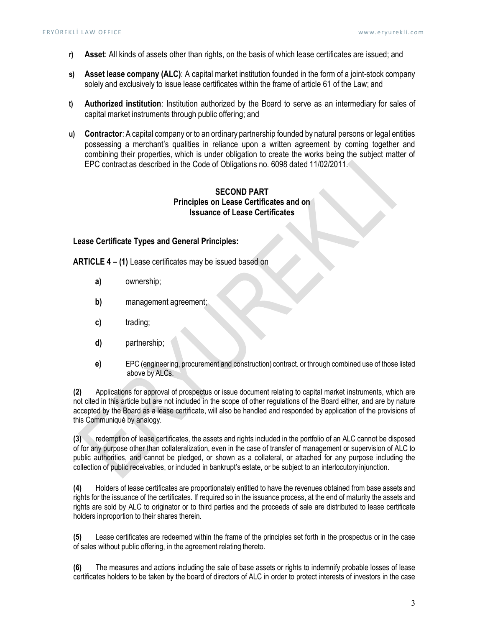- r) Asset: All kinds of assets other than rights, on the basis of which lease certificates are issued; and
- s) Asset lease company (ALC): A capital market institution founded in the form of a joint-stock company solely and exclusively to issue lease certificates within the frame of article 61 of the Law; and
- t) Authorized institution: Institution authorized by the Board to serve as an intermediary for sales of capital market instruments through public offering; and
- u) Contractor: A capital company or to an ordinary partnership founded by natural persons or legal entities possessing a merchant's qualities in reliance upon a written agreement by coming together and combining their properties, which is under obligation to create the works being the subject matter of EPC contract as described in the Code of Obligations no. 6098 dated 11/02/2011.

## SECOND PART Principles on Lease Certificates and on Issuance of Lease Certificates

### Lease Certificate Types and General Principles:

ARTICLE 4 – (1) Lease certificates may be issued based on

- a) ownership;
- b) management agreement;
- c) trading;
- d) partnership;
- e) EPC (engineering, procurement and construction) contract. or through combined use of those listed above by ALCs.

(2) Applications for approval of prospectus or issue document relating to capital market instruments, which are not cited in this article but are not included in the scope of other regulations of the Board either, and are by nature accepted by the Board as a lease certificate, will also be handled and responded by application of the provisions of this Communiqué by analogy.

(3) redemption of lease certificates, the assets and rights included in the portfolio of an ALC cannot be disposed of for any purpose other than collateralization, even in the case of transfer of management or supervision of ALC to public authorities, and cannot be pledged, or shown as a collateral, or attached for any purpose including the collection of public receivables, or included in bankrupt's estate, or be subject to an interlocutory injunction.

(4) Holders of lease certificates are proportionately entitled to have the revenues obtained from base assets and rights for the issuance of the certificates. If required so in the issuance process, at the end of maturity the assets and rights are sold by ALC to originator or to third parties and the proceeds of sale are distributed to lease certificate holders in proportion to their shares therein.

(5) Lease certificates are redeemed within the frame of the principles set forth in the prospectus or in the case of sales without public offering, in the agreement relating thereto.

(6) The measures and actions including the sale of base assets or rights to indemnify probable losses of lease certificates holders to be taken by the board of directors of ALC in order to protect interests of investors in the case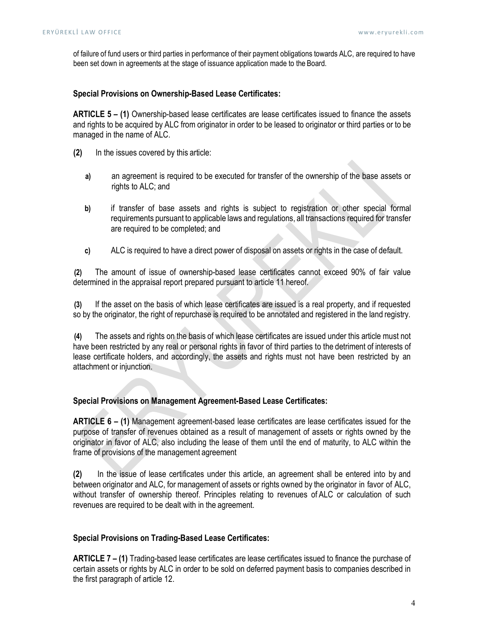of failure of fund users or third parties in performance of their payment obligations towards ALC, are required to have been set down in agreements at the stage of issuance application made to the Board.

#### Special Provisions on Ownership-Based Lease Certificates:

ARTICLE 5 – (1) Ownership-based lease certificates are lease certificates issued to finance the assets and rights to be acquired by ALC from originator in order to be leased to originator or third parties or to be managed in the name of ALC.

- (2) In the issues covered by this article:
	- a) an agreement is required to be executed for transfer of the ownership of the base assets or rights to ALC; and
	- b) if transfer of base assets and rights is subject to registration or other special formal requirements pursuant to applicable laws and regulations, all transactions required for transfer are required to be completed; and
	- c) ALC is required to have a direct power of disposal on assets or rights in the case of default.

(2) The amount of issue of ownership-based lease certificates cannot exceed 90% of fair value determined in the appraisal report prepared pursuant to article 11 hereof.

(3) If the asset on the basis of which lease certificates are issued is a real property, and if requested so by the originator, the right of repurchase is required to be annotated and registered in the land registry.

(4) The assets and rights on the basis of which lease certificates are issued under this article must not have been restricted by any real or personal rights in favor of third parties to the detriment of interests of lease certificate holders, and accordingly, the assets and rights must not have been restricted by an attachment or injunction.

### Special Provisions on Management Agreement-Based Lease Certificates:

ARTICLE 6 – (1) Management agreement-based lease certificates are lease certificates issued for the purpose of transfer of revenues obtained as a result of management of assets or rights owned by the originator in favor of ALC, also including the lease of them until the end of maturity, to ALC within the frame of provisions of the management agreement

(2) In the issue of lease certificates under this article, an agreement shall be entered into by and between originator and ALC, for management of assets or rights owned by the originator in favor of ALC, without transfer of ownership thereof. Principles relating to revenues of ALC or calculation of such revenues are required to be dealt with in the agreement.

### Special Provisions on Trading-Based Lease Certificates:

ARTICLE 7 – (1) Trading-based lease certificates are lease certificates issued to finance the purchase of certain assets or rights by ALC in order to be sold on deferred payment basis to companies described in the first paragraph of article 12.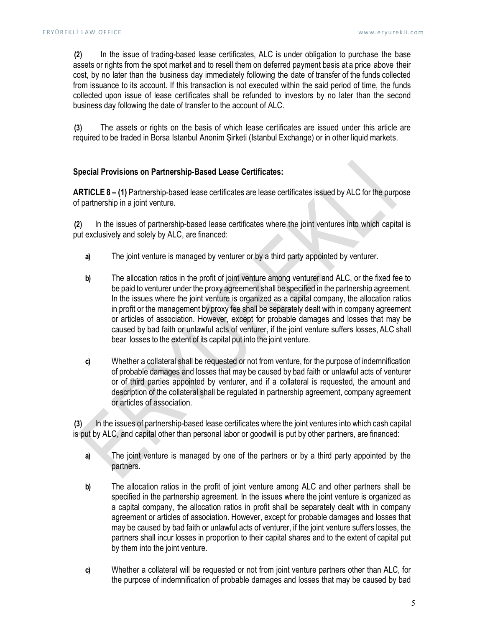(2) In the issue of trading-based lease certificates, ALC is under obligation to purchase the base assets or rights from the spot market and to resell them on deferred payment basis at a price above their cost, by no later than the business day immediately following the date of transfer of the funds collected from issuance to its account. If this transaction is not executed within the said period of time, the funds collected upon issue of lease certificates shall be refunded to investors by no later than the second business day following the date of transfer to the account of ALC.

(3) The assets or rights on the basis of which lease certificates are issued under this article are required to be traded in Borsa Istanbul Anonim Şirketi (Istanbul Exchange) or in other liquid markets.

### Special Provisions on Partnership-Based Lease Certificates:

ARTICLE 8 – (1) Partnership-based lease certificates are lease certificates issued by ALC for the purpose of partnership in a joint venture.

(2) In the issues of partnership-based lease certificates where the joint ventures into which capital is put exclusively and solely by ALC, are financed:

- a) The joint venture is managed by venturer or by a third party appointed by venturer.
- b) The allocation ratios in the profit of joint venture among venturer and ALC, or the fixed fee to be paid to venturer under the proxy agreement shall be specified in the partnership agreement. In the issues where the joint venture is organized as a capital company, the allocation ratios in profit or the management by proxy fee shall be separately dealt with in company agreement or articles of association. However, except for probable damages and losses that may be caused by bad faith or unlawful acts of venturer, if the joint venture suffers losses, ALC shall bear losses to the extent of its capital put into the joint venture.
- c) Whether a collateral shall be requested or not from venture, for the purpose of indemnification of probable damages and losses that may be caused by bad faith or unlawful acts of venturer or of third parties appointed by venturer, and if a collateral is requested, the amount and description of the collateral shall be regulated in partnership agreement, company agreement or articles of association.

(3) In the issues of partnership-based lease certificates where the joint ventures into which cash capital is put by ALC, and capital other than personal labor or goodwill is put by other partners, are financed:

- a) The joint venture is managed by one of the partners or by a third party appointed by the partners.
- b) The allocation ratios in the profit of joint venture among ALC and other partners shall be specified in the partnership agreement. In the issues where the joint venture is organized as a capital company, the allocation ratios in profit shall be separately dealt with in company agreement or articles of association. However, except for probable damages and losses that may be caused by bad faith or unlawful acts of venturer, if the joint venture suffers losses, the partners shall incur losses in proportion to their capital shares and to the extent of capital put by them into the joint venture.
- c) Whether a collateral will be requested or not from joint venture partners other than ALC, for the purpose of indemnification of probable damages and losses that may be caused by bad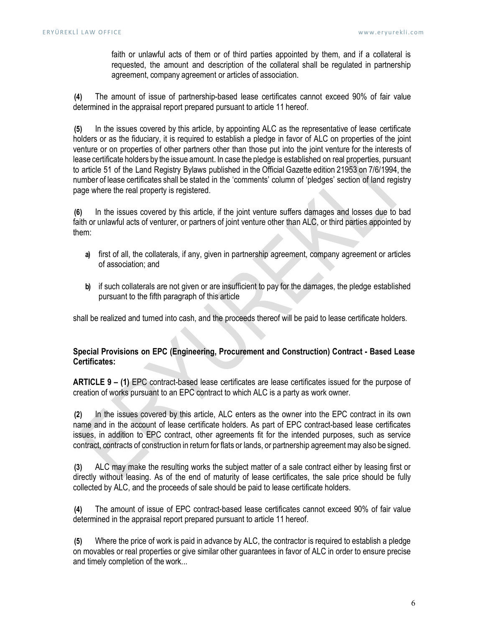faith or unlawful acts of them or of third parties appointed by them, and if a collateral is requested, the amount and description of the collateral shall be regulated in partnership agreement, company agreement or articles of association.

(4) The amount of issue of partnership-based lease certificates cannot exceed 90% of fair value determined in the appraisal report prepared pursuant to article 11 hereof.

(5) In the issues covered by this article, by appointing ALC as the representative of lease certificate holders or as the fiduciary, it is required to establish a pledge in favor of ALC on properties of the joint venture or on properties of other partners other than those put into the joint venture for the interests of lease certificate holders by the issue amount. In case the pledge is established on real properties, pursuant to article 51 of the Land Registry Bylaws published in the Official Gazette edition 21953 on 7/6/1994, the number of lease certificates shall be stated in the 'comments' column of 'pledges' section of land registry page where the real property is registered.

(6) In the issues covered by this article, if the joint venture suffers damages and losses due to bad faith or unlawful acts of venturer, or partners of joint venture other than ALC, or third parties appointed by them:

- a) first of all, the collaterals, if any, given in partnership agreement, company agreement or articles of association; and
- b) if such collaterals are not given or are insufficient to pay for the damages, the pledge established pursuant to the fifth paragraph of this article

shall be realized and turned into cash, and the proceeds thereof will be paid to lease certificate holders.

### Special Provisions on EPC (Engineering, Procurement and Construction) Contract - Based Lease Certificates:

ARTICLE 9 – (1) EPC contract-based lease certificates are lease certificates issued for the purpose of creation of works pursuant to an EPC contract to which ALC is a party as work owner.

(2) In the issues covered by this article, ALC enters as the owner into the EPC contract in its own name and in the account of lease certificate holders. As part of EPC contract-based lease certificates issues, in addition to EPC contract, other agreements fit for the intended purposes, such as service contract, contracts of construction in return for flats or lands, or partnership agreement may also be signed.

(3) ALC may make the resulting works the subject matter of a sale contract either by leasing first or directly without leasing. As of the end of maturity of lease certificates, the sale price should be fully collected by ALC, and the proceeds of sale should be paid to lease certificate holders.

(4) The amount of issue of EPC contract-based lease certificates cannot exceed 90% of fair value determined in the appraisal report prepared pursuant to article 11 hereof.

(5) Where the price of work is paid in advance by ALC, the contractor is required to establish a pledge on movables or real properties or give similar other guarantees in favor of ALC in order to ensure precise and timely completion of the work...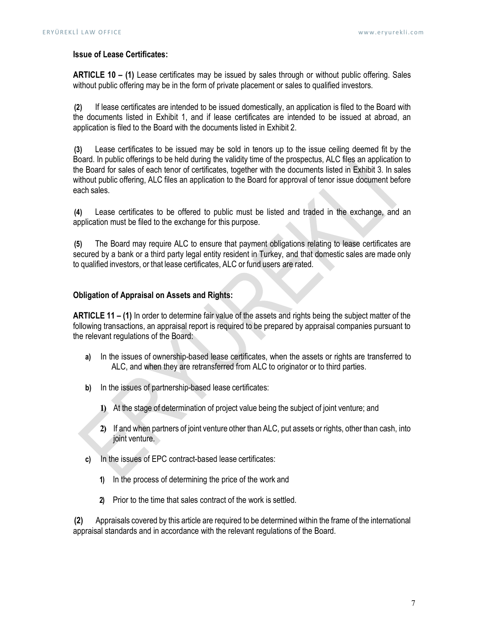#### Issue of Lease Certificates:

ARTICLE 10 – (1) Lease certificates may be issued by sales through or without public offering. Sales without public offering may be in the form of private placement or sales to qualified investors.

(2) If lease certificates are intended to be issued domestically, an application is filed to the Board with the documents listed in Exhibit 1, and if lease certificates are intended to be issued at abroad, an application is filed to the Board with the documents listed in Exhibit 2.

(3) Lease certificates to be issued may be sold in tenors up to the issue ceiling deemed fit by the Board. In public offerings to be held during the validity time of the prospectus, ALC files an application to the Board for sales of each tenor of certificates, together with the documents listed in Exhibit 3. In sales without public offering, ALC files an application to the Board for approval of tenor issue document before each sales.

(4) Lease certificates to be offered to public must be listed and traded in the exchange, and an application must be filed to the exchange for this purpose.

(5) The Board may require ALC to ensure that payment obligations relating to lease certificates are secured by a bank or a third party legal entity resident in Turkey, and that domestic sales are made only to qualified investors, or that lease certificates, ALC or fund users are rated.

#### Obligation of Appraisal on Assets and Rights:

ARTICLE 11 – (1) In order to determine fair value of the assets and rights being the subject matter of the following transactions, an appraisal report is required to be prepared by appraisal companies pursuant to the relevant regulations of the Board:

- a) In the issues of ownership-based lease certificates, when the assets or rights are transferred to ALC, and when they are retransferred from ALC to originator or to third parties.
- b) In the issues of partnership-based lease certificates:
	- 1) At the stage of determination of project value being the subject of joint venture; and
	- 2) If and when partners of joint venture other than ALC, put assets or rights, other than cash, into joint venture.
- c) In the issues of EPC contract-based lease certificates:
	- 1) In the process of determining the price of the work and
	- 2) Prior to the time that sales contract of the work is settled.

(2) Appraisals covered by this article are required to be determined within the frame of the international appraisal standards and in accordance with the relevant regulations of the Board.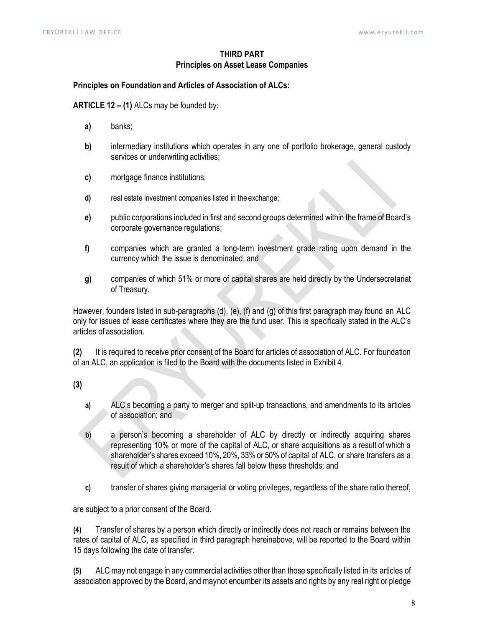### THIRD PART Principles on Asset Lease Companies

#### Principles on Foundation and Articles of Association of ALCs:

ARTICLE 12 – (1) ALCs may be founded by:

- a) banks;
- b) intermediary institutions which operates in any one of portfolio brokerage, general custody services or underwriting activities;
- c) mortgage finance institutions;
- d) real estate investment companies listed in the exchange;
- e) public corporations included in first and second groups determined within the frame of Board's corporate governance regulations;
- f) companies which are granted a long-term investment grade rating upon demand in the currency which the issue is denominated; and
- g) companies of which 51% or more of capital shares are held directly by the Undersecretariat of Treasury.

However, founders listed in sub-paragraphs (d), (e), (f) and (g) of this first paragraph may found an ALC only for issues of lease certificates where they are the fund user. This is specifically stated in the ALC's articles of association.

(2) It is required to receive prior consent of the Board for articles of association of ALC. For foundation of an ALC, an application is filed to the Board with the documents listed in Exhibit 4.

(3)

- a) ALC's becoming a party to merger and split-up transactions, and amendments to its articles of association; and
- b) a person's becoming a shareholder of ALC by directly or indirectly acquiring shares representing 10% or more of the capital of ALC, or share acquisitions as a result of which a shareholder's shares exceed 10%, 20%, 33% or 50% of capital of ALC, or share transfers as a result of which a shareholder's shares fall below these thresholds; and
- c) transfer of shares giving managerial or voting privileges, regardless of the share ratio thereof,

are subject to a prior consent of the Board.

(4) Transfer of shares by a person which directly or indirectly does not reach or remains between the rates of capital of ALC, as specified in third paragraph hereinabove, will be reported to the Board within 15 days following the date of transfer.

(5) ALC may not engage in any commercial activities other than those specifically listed in its articles of association approved by the Board, and maynot encumber its assets and rights by any real right or pledge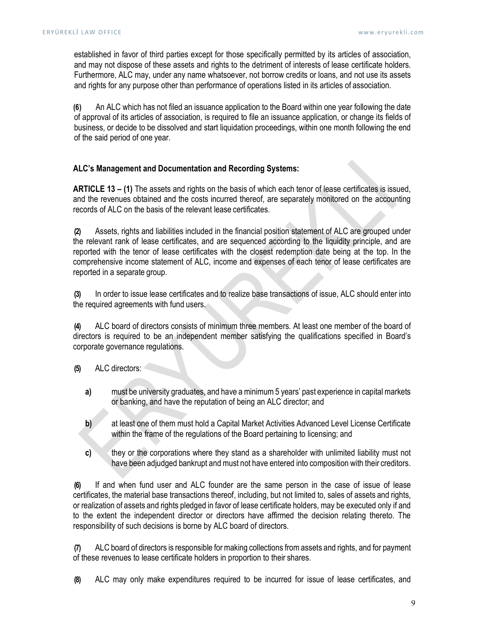established in favor of third parties except for those specifically permitted by its articles of association, and may not dispose of these assets and rights to the detriment of interests of lease certificate holders. Furthermore, ALC may, under any name whatsoever, not borrow credits or loans, and not use its assets and rights for any purpose other than performance of operations listed in its articles of association.

(6) An ALC which has not filed an issuance application to the Board within one year following the date of approval of its articles of association, is required to file an issuance application, or change its fields of business, or decide to be dissolved and start liquidation proceedings, within one month following the end of the said period of one year.

### ALC's Management and Documentation and Recording Systems:

ARTICLE 13 – (1) The assets and rights on the basis of which each tenor of lease certificates is issued, and the revenues obtained and the costs incurred thereof, are separately monitored on the accounting records of ALC on the basis of the relevant lease certificates.

(2) Assets, rights and liabilities included in the financial position statement of ALC are grouped under the relevant rank of lease certificates, and are sequenced according to the liquidity principle, and are reported with the tenor of lease certificates with the closest redemption date being at the top. In the comprehensive income statement of ALC, income and expenses of each tenor of lease certificates are reported in a separate group.

(3) In order to issue lease certificates and to realize base transactions of issue, ALC should enter into the required agreements with fund users.

(4) ALC board of directors consists of minimum three members. At least one member of the board of directors is required to be an independent member satisfying the qualifications specified in Board's corporate governance regulations.

- (5) ALC directors:
	- a) must be university graduates, and have a minimum 5 years' past experience in capital markets or banking, and have the reputation of being an ALC director; and
	- b) at least one of them must hold a Capital Market Activities Advanced Level License Certificate within the frame of the regulations of the Board pertaining to licensing; and
	- c) they or the corporations where they stand as a shareholder with unlimited liability must not have been adjudged bankrupt and must not have entered into composition with their creditors.

(6) If and when fund user and ALC founder are the same person in the case of issue of lease certificates, the material base transactions thereof, including, but not limited to, sales of assets and rights, or realization of assets and rights pledged in favor of lease certificate holders, may be executed only if and to the extent the independent director or directors have affirmed the decision relating thereto. The responsibility of such decisions is borne by ALC board of directors.

(7) ALC board of directors is responsible for making collections from assets and rights, and for payment of these revenues to lease certificate holders in proportion to their shares.

(8) ALC may only make expenditures required to be incurred for issue of lease certificates, and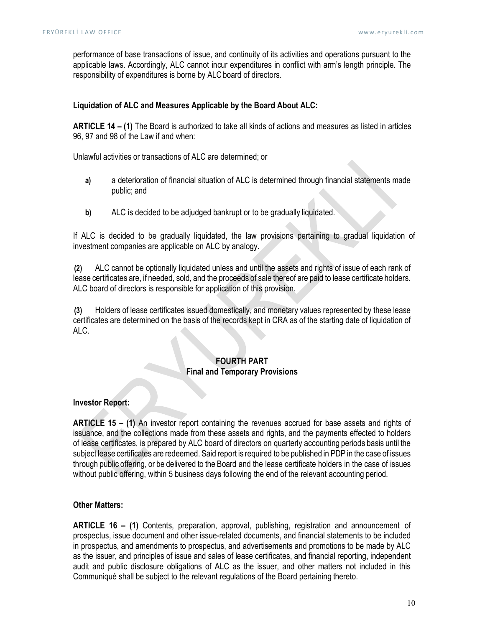performance of base transactions of issue, and continuity of its activities and operations pursuant to the applicable laws. Accordingly, ALC cannot incur expenditures in conflict with arm's length principle. The responsibility of expenditures is borne by ALC board of directors.

### Liquidation of ALC and Measures Applicable by the Board About ALC:

ARTICLE 14 – (1) The Board is authorized to take all kinds of actions and measures as listed in articles 96, 97 and 98 of the Law if and when:

Unlawful activities or transactions of ALC are determined; or

- a) a deterioration of financial situation of ALC is determined through financial statements made public; and
- b) ALC is decided to be adjudged bankrupt or to be gradually liquidated.

If ALC is decided to be gradually liquidated, the law provisions pertaining to gradual liquidation of investment companies are applicable on ALC by analogy.

(2) ALC cannot be optionally liquidated unless and until the assets and rights of issue of each rank of lease certificates are, if needed, sold, and the proceeds of sale thereof are paid to lease certificate holders. ALC board of directors is responsible for application of this provision.

(3) Holders of lease certificates issued domestically, and monetary values represented by these lease certificates are determined on the basis of the records kept in CRA as of the starting date of liquidation of ALC.

### FOURTH PART Final and Temporary Provisions

### Investor Report:

ARTICLE 15 – (1) An investor report containing the revenues accrued for base assets and rights of issuance, and the collections made from these assets and rights, and the payments effected to holders of lease certificates, is prepared by ALC board of directors on quarterly accounting periods basis until the subject lease certificates are redeemed. Said report is required to be published in PDP in the case of issues through public offering, or be delivered to the Board and the lease certificate holders in the case of issues without public offering, within 5 business days following the end of the relevant accounting period.

### Other Matters:

ARTICLE 16 – (1) Contents, preparation, approval, publishing, registration and announcement of prospectus, issue document and other issue-related documents, and financial statements to be included in prospectus, and amendments to prospectus, and advertisements and promotions to be made by ALC as the issuer, and principles of issue and sales of lease certificates, and financial reporting, independent audit and public disclosure obligations of ALC as the issuer, and other matters not included in this Communiqué shall be subject to the relevant regulations of the Board pertaining thereto.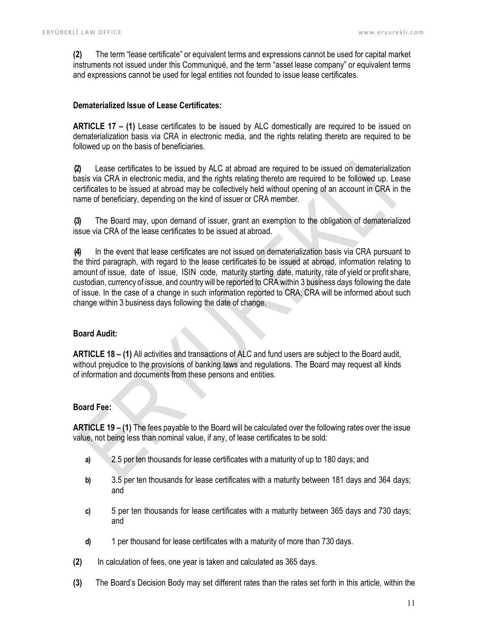(2) The term "lease certificate" or equivalent terms and expressions cannot be used for capital market instruments not issued under this Communiqué, and the term "asset lease company" or equivalent terms and expressions cannot be used for legal entities not founded to issue lease certificates.

#### Dematerialized Issue of Lease Certificates:

ARTICLE 17 – (1) Lease certificates to be issued by ALC domestically are required to be issued on dematerialization basis via CRA in electronic media, and the rights relating thereto are required to be followed up on the basis of beneficiaries.

(2) Lease certificates to be issued by ALC at abroad are required to be issued on dematerialization basis via CRA in electronic media, and the rights relating thereto are required to be followed up. Lease certificates to be issued at abroad may be collectively held without opening of an account in CRA in the name of beneficiary, depending on the kind of issuer or CRA member.

(3) The Board may, upon demand of issuer, grant an exemption to the obligation of dematerialized issue via CRA of the lease certificates to be issued at abroad.

(4) In the event that lease certificates are not issued on dematerialization basis via CRA pursuant to the third paragraph, with regard to the lease certificates to be issued at abroad, information relating to amount of issue, date of issue, ISIN code, maturity starting date, maturity, rate of yield or profit share, custodian, currency of issue, and country will be reported to CRA within 3 business days following the date of issue. In the case of a change in such information reported to CRA, CRA will be informed about such change within 3 business days following the date of change.

### Board Audit:

ARTICLE 18 – (1) All activities and transactions of ALC and fund users are subject to the Board audit, without prejudice to the provisions of banking laws and regulations. The Board may request all kinds of information and documents from these persons and entities.

### Board Fee:

ARTICLE 19 – (1) The fees payable to the Board will be calculated over the following rates over the issue value, not being less than nominal value, if any, of lease certificates to be sold:

- a) 2.5 per ten thousands for lease certificates with a maturity of up to 180 days; and
- b) 3.5 per ten thousands for lease certificates with a maturity between 181 days and 364 days; and
- c) 5 per ten thousands for lease certificates with a maturity between 365 days and 730 days; and
- d) 1 per thousand for lease certificates with a maturity of more than 730 days.
- (2) In calculation of fees, one year is taken and calculated as 365 days.
- (3) The Board's Decision Body may set different rates than the rates set forth in this article, within the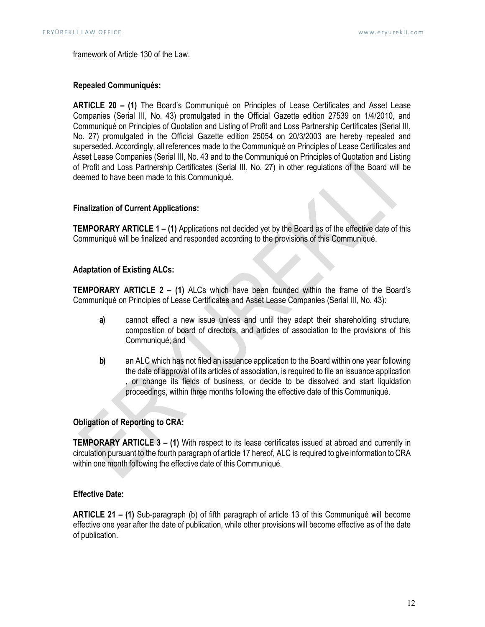framework of Article 130 of the Law.

#### Repealed Communiqués:

ARTICLE 20 – (1) The Board's Communiqué on Principles of Lease Certificates and Asset Lease Companies (Serial III, No. 43) promulgated in the Official Gazette edition 27539 on 1/4/2010, and Communiqué on Principles of Quotation and Listing of Profit and Loss Partnership Certificates (Serial III, No. 27) promulgated in the Official Gazette edition 25054 on 20/3/2003 are hereby repealed and superseded. Accordingly, all references made to the Communiqué on Principles of Lease Certificates and Asset Lease Companies (Serial III, No. 43 and to the Communiqué on Principles of Quotation and Listing of Profit and Loss Partnership Certificates (Serial III, No. 27) in other regulations of the Board will be deemed to have been made to this Communiqué.

### Finalization of Current Applications:

TEMPORARY ARTICLE 1 – (1) Applications not decided yet by the Board as of the effective date of this Communiqué will be finalized and responded according to the provisions of this Communiqué.

### Adaptation of Existing ALCs:

TEMPORARY ARTICLE 2 – (1) ALCs which have been founded within the frame of the Board's Communiqué on Principles of Lease Certificates and Asset Lease Companies (Serial III, No. 43):

- a) cannot effect a new issue unless and until they adapt their shareholding structure, composition of board of directors, and articles of association to the provisions of this Communiqué; and
- b) an ALC which has not filed an issuance application to the Board within one year following the date of approval of its articles of association, is required to file an issuance application , or change its fields of business, or decide to be dissolved and start liquidation proceedings, within three months following the effective date of this Communiqué.

### Obligation of Reporting to CRA:

TEMPORARY ARTICLE 3 – (1) With respect to its lease certificates issued at abroad and currently in circulation pursuant to the fourth paragraph of article 17 hereof, ALC is required to give information to CRA within one month following the effective date of this Communiqué.

### Effective Date:

ARTICLE 21 – (1) Sub-paragraph (b) of fifth paragraph of article 13 of this Communiqué will become effective one year after the date of publication, while other provisions will become effective as of the date of publication.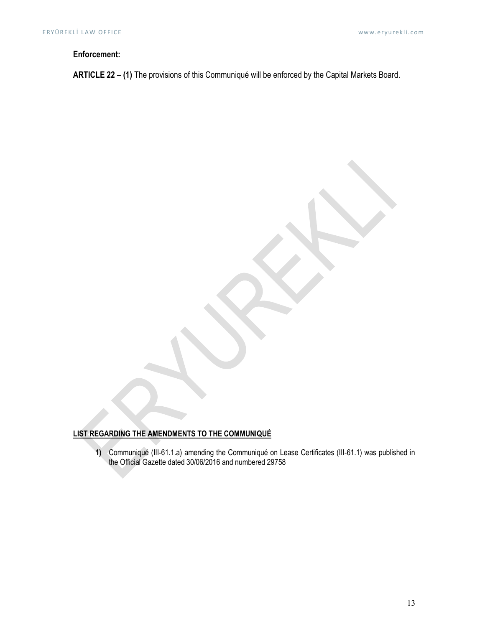### Enforcement:

ARTICLE 22 - (1) The provisions of this Communiqué will be enforced by the Capital Markets Board.

# LIST REGARDING THE AMENDMENTS TO THE COMMUNIQUÉ

1) Communiqué (III-61.1.a) amending the Communiqué on Lease Certificates (III-61.1) was published in the Official Gazette dated 30/06/2016 and numbered 29758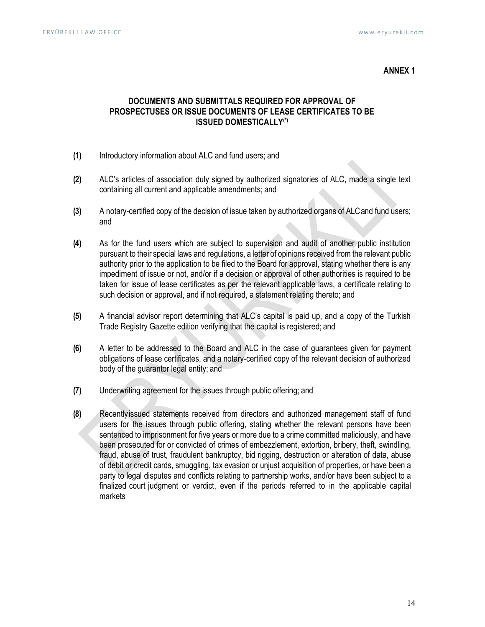### ANNEX 1

# DOCUMENTS AND SUBMITTALS REQUIRED FOR APPROVAL OF PROSPECTUSES OR ISSUE DOCUMENTS OF LEASE CERTIFICATES TO BE ISSUED DOMESTICALLY(\*)

- (1) Introductory information about ALC and fund users; and
- (2) ALC's articles of association duly signed by authorized signatories of ALC, made a single text containing all current and applicable amendments; and
- (3) A notary-certified copy of the decision of issue taken by authorized organs of ALC and fund users; and
- (4) As for the fund users which are subject to supervision and audit of another public institution pursuant to their special laws and regulations, a letter of opinions received from the relevant public authority prior to the application to be filed to the Board for approval, stating whether there is any impediment of issue or not, and/or if a decision or approval of other authorities is required to be taken for issue of lease certificates as per the relevant applicable laws, a certificate relating to such decision or approval, and if not required, a statement relating thereto; and
- (5) A financial advisor report determining that ALC's capital is paid up, and a copy of the Turkish Trade Registry Gazette edition verifying that the capital is registered; and
- (6) A letter to be addressed to the Board and ALC in the case of guarantees given for payment obligations of lease certificates, and a notary-certified copy of the relevant decision of authorized body of the guarantor legal entity; and
- (7) Underwriting agreement for the issues through public offering; and
- (8) Recently issued statements received from directors and authorized management staff of fund users for the issues through public offering, stating whether the relevant persons have been sentenced to imprisonment for five years or more due to a crime committed maliciously, and have been prosecuted for or convicted of crimes of embezzlement, extortion, bribery, theft, swindling, fraud, abuse of trust, fraudulent bankruptcy, bid rigging, destruction or alteration of data, abuse of debit or credit cards, smuggling, tax evasion or unjust acquisition of properties, or have been a party to legal disputes and conflicts relating to partnership works, and/or have been subject to a finalized court judgment or verdict, even if the periods referred to in the applicable capital markets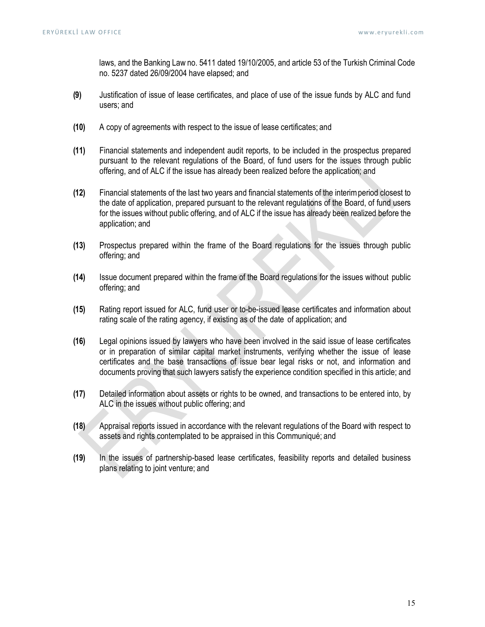laws, and the Banking Law no. 5411 dated 19/10/2005, and article 53 of the Turkish Criminal Code no. 5237 dated 26/09/2004 have elapsed; and

- (9) Justification of issue of lease certificates, and place of use of the issue funds by ALC and fund users; and
- (10) A copy of agreements with respect to the issue of lease certificates; and
- (11) Financial statements and independent audit reports, to be included in the prospectus prepared pursuant to the relevant regulations of the Board, of fund users for the issues through public offering, and of ALC if the issue has already been realized before the application; and
- (12) Financial statements of the last two years and financial statements of the interim period closest to the date of application, prepared pursuant to the relevant regulations of the Board, of fund users for the issues without public offering, and of ALC if the issue has already been realized before the application; and
- (13) Prospectus prepared within the frame of the Board regulations for the issues through public offering; and
- (14) Issue document prepared within the frame of the Board regulations for the issues without public offering; and
- (15) Rating report issued for ALC, fund user or to-be-issued lease certificates and information about rating scale of the rating agency, if existing as of the date of application; and
- (16) Legal opinions issued by lawyers who have been involved in the said issue of lease certificates or in preparation of similar capital market instruments, verifying whether the issue of lease certificates and the base transactions of issue bear legal risks or not, and information and documents proving that such lawyers satisfy the experience condition specified in this article; and
- (17) Detailed information about assets or rights to be owned, and transactions to be entered into, by ALC in the issues without public offering; and
- (18) Appraisal reports issued in accordance with the relevant regulations of the Board with respect to assets and rights contemplated to be appraised in this Communiqué; and
- (19) In the issues of partnership-based lease certificates, feasibility reports and detailed business plans relating to joint venture; and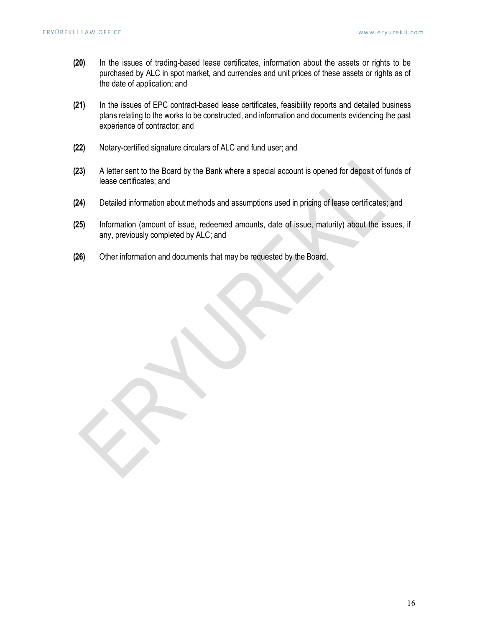- $(20)$ In the issues of trading-based lease certificates, information about the assets or rights to be purchased by ALC in spot market, and currencies and unit prices of these assets or rights as of the date of application; and
- $(21)$ In the issues of EPC contract-based lease certificates, feasibility reports and detailed business plans relating to the works to be constructed, and information and documents evidencing the past experience of contractor; and
- $(22)$ Notary-certified signature circulars of ALC and fund user; and
- A letter sent to the Board by the Bank where a special account is opened for deposit of funds of  $(23)$ lease certificates; and
- $(24)$ Detailed information about methods and assumptions used in pricing of lease certificates; and
- $(25)$ Information (amount of issue, redeemed amounts, date of issue, maturity) about the issues, if any, previously completed by ALC; and
- $(26)$ Other information and documents that may be requested by the Board.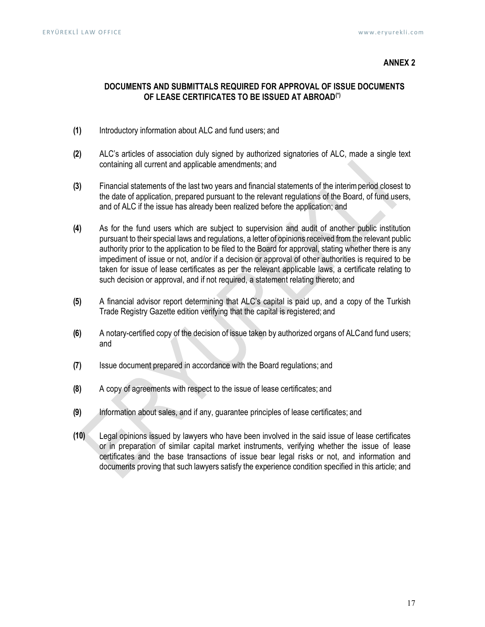#### ANNEX 2

### DOCUMENTS AND SUBMITTALS REQUIRED FOR APPROVAL OF ISSUE DOCUMENTS OF LEASE CERTIFICATES TO BE ISSUED AT ABROAD(\*)

- (1) Introductory information about ALC and fund users; and
- (2) ALC's articles of association duly signed by authorized signatories of ALC, made a single text containing all current and applicable amendments; and
- (3) Financial statements of the last two years and financial statements of the interim period closest to the date of application, prepared pursuant to the relevant regulations of the Board, of fund users, and of ALC if the issue has already been realized before the application; and
- (4) As for the fund users which are subject to supervision and audit of another public institution pursuant to their special laws and regulations, a letter of opinions received from the relevant public authority prior to the application to be filed to the Board for approval, stating whether there is any impediment of issue or not, and/or if a decision or approval of other authorities is required to be taken for issue of lease certificates as per the relevant applicable laws, a certificate relating to such decision or approval, and if not required, a statement relating thereto; and
- (5) A financial advisor report determining that ALC's capital is paid up, and a copy of the Turkish Trade Registry Gazette edition verifying that the capital is registered; and
- (6) A notary-certified copy of the decision of issue taken by authorized organs of ALC and fund users; and
- (7) Issue document prepared in accordance with the Board regulations; and
- (8) A copy of agreements with respect to the issue of lease certificates; and
- (9) Information about sales, and if any, guarantee principles of lease certificates; and
- (10) Legal opinions issued by lawyers who have been involved in the said issue of lease certificates or in preparation of similar capital market instruments, verifying whether the issue of lease certificates and the base transactions of issue bear legal risks or not, and information and documents proving that such lawyers satisfy the experience condition specified in this article; and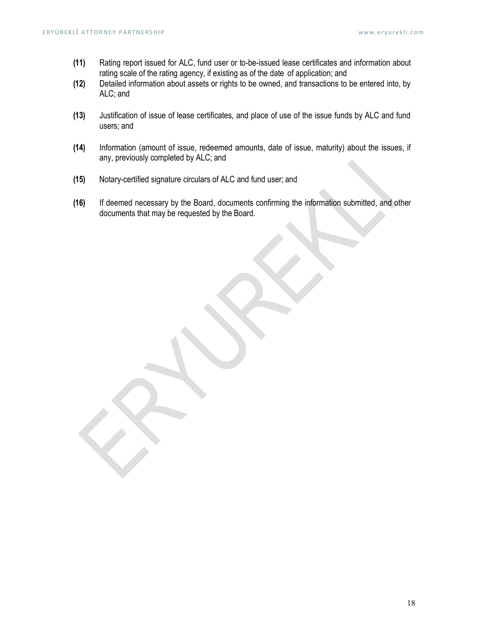- $(11)$ Rating report issued for ALC, fund user or to-be-issued lease certificates and information about rating scale of the rating agency, if existing as of the date of application; and
- Detailed information about assets or rights to be owned, and transactions to be entered into, by  $(12)$ ALC; and
- $(13)$ Justification of issue of lease certificates, and place of use of the issue funds by ALC and fund users; and
- Information (amount of issue, redeemed amounts, date of issue, maturity) about the issues, if  $(14)$ any, previously completed by ALC; and
- $(15)$ Notary-certified signature circulars of ALC and fund user; and
- $(16)$ If deemed necessary by the Board, documents confirming the information submitted, and other documents that may be requested by the Board.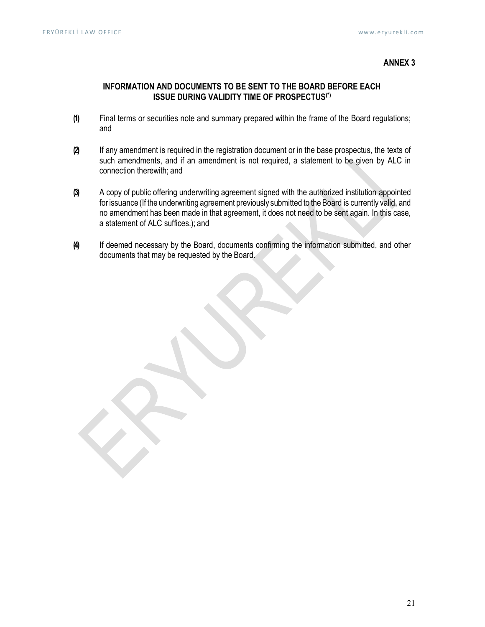#### **ANNEX 3**

### **INFORMATION AND DOCUMENTS TO BE SENT TO THE BOARD BEFORE EACH ISSUE DURING VALIDITY TIME OF PROSPECTUS(\*)**

- $(1)$ Final terms or securities note and summary prepared within the frame of the Board regulations; and
- $(2)$ If any amendment is required in the registration document or in the base prospectus, the texts of such amendments, and if an amendment is not required, a statement to be given by ALC in connection therewith; and
- $(3)$ A copy of public offering underwriting agreement signed with the authorized institution appointed for issuance (If the underwriting agreement previously submitted to the Board is currently valid, and no amendment has been made in that agreement, it does not need to be sent again. In this case, a statement of ALC suffices.); and
- If deemed necessary by the Board, documents confirming the information submitted, and other  $(4)$ documents that may be requested by the Board.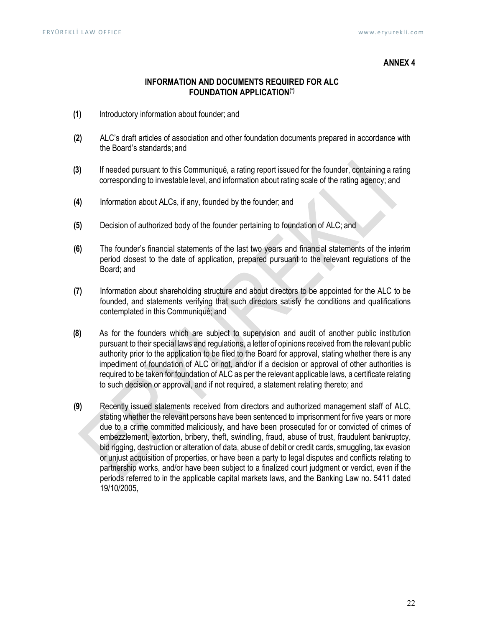#### ANNEX 4

### INFORMATION AND DOCUMENTS REQUIRED FOR ALC FOUNDATION APPLICATION(\*)

- (1) Introductory information about founder; and
- (2) ALC's draft articles of association and other foundation documents prepared in accordance with the Board's standards; and
- (3) If needed pursuant to this Communiqué, a rating report issued for the founder, containing a rating corresponding to investable level, and information about rating scale of the rating agency; and
- (4) Information about ALCs, if any, founded by the founder; and
- (5) Decision of authorized body of the founder pertaining to foundation of ALC; and
- (6) The founder's financial statements of the last two years and financial statements of the interim period closest to the date of application, prepared pursuant to the relevant regulations of the Board; and
- (7) Information about shareholding structure and about directors to be appointed for the ALC to be founded, and statements verifying that such directors satisfy the conditions and qualifications contemplated in this Communiqué; and
- (8) As for the founders which are subject to supervision and audit of another public institution pursuant to their special laws and regulations, a letter of opinions received from the relevant public authority prior to the application to be filed to the Board for approval, stating whether there is any impediment of foundation of ALC or not, and/or if a decision or approval of other authorities is required to be taken for foundation of ALC as per the relevant applicable laws, a certificate relating to such decision or approval, and if not required, a statement relating thereto; and
- (9) Recently issued statements received from directors and authorized management staff of ALC, stating whether the relevant persons have been sentenced to imprisonment for five years or more due to a crime committed maliciously, and have been prosecuted for or convicted of crimes of embezzlement, extortion, bribery, theft, swindling, fraud, abuse of trust, fraudulent bankruptcy, bid rigging, destruction or alteration of data, abuse of debit or credit cards, smuggling, tax evasion or unjust acquisition of properties, or have been a party to legal disputes and conflicts relating to partnership works, and/or have been subject to a finalized court judgment or verdict, even if the periods referred to in the applicable capital markets laws, and the Banking Law no. 5411 dated 19/10/2005,